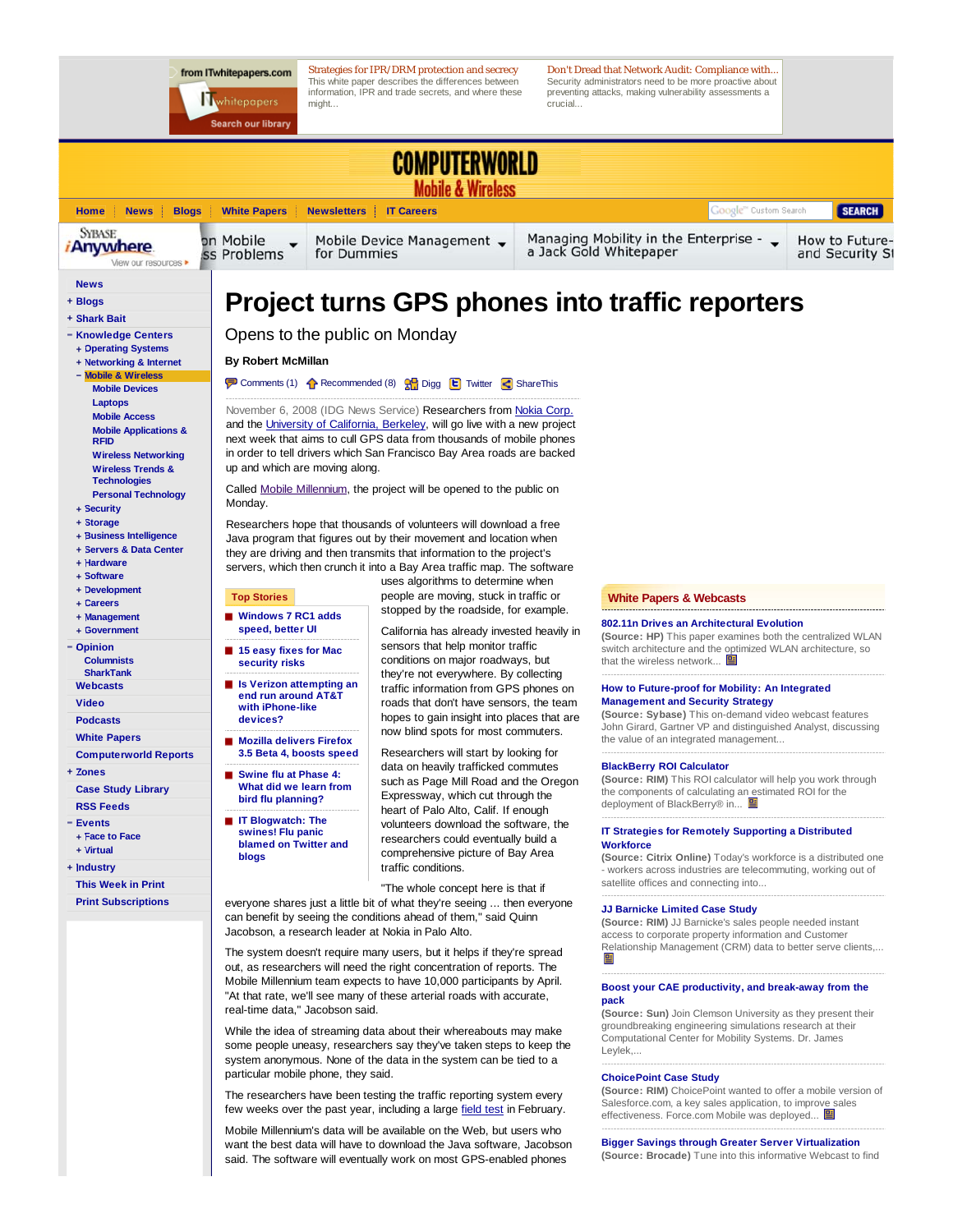